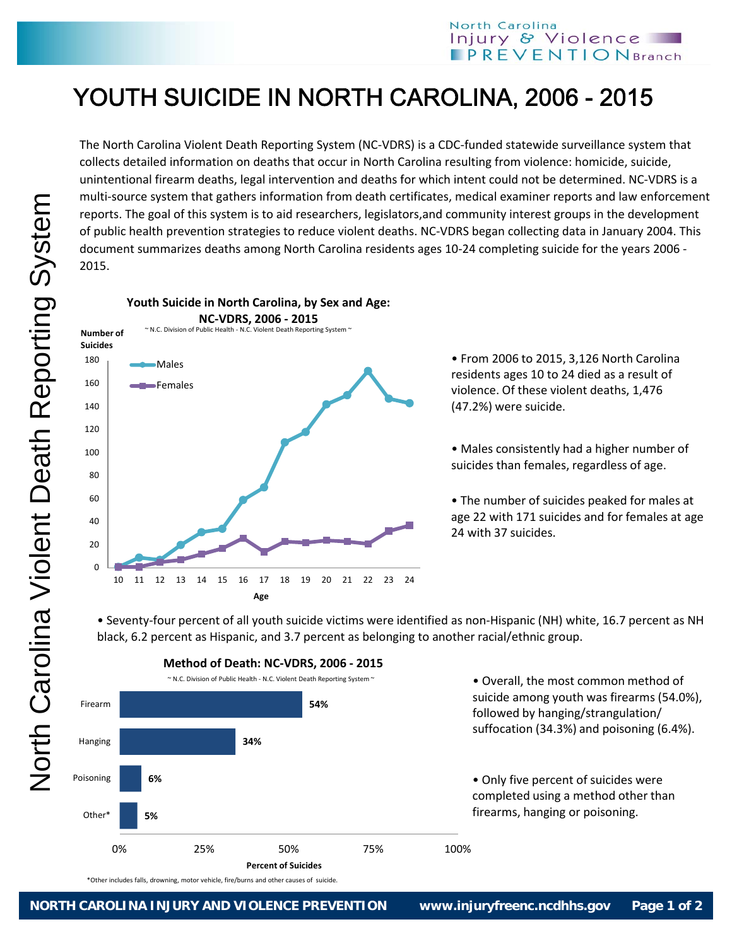## YOUTH SUICIDE IN NORTH CAROLINA, 2006 - 2015

The North Carolina Violent Death Reporting System (NC‐VDRS) is a CDC‐funded statewide surveillance system that collects detailed information on deaths that occur in North Carolina resulting from violence: homicide, suicide, unintentional firearm deaths, legal intervention and deaths for which intent could not be determined. NC‐VDRS is a multi-source system that gathers information from death certificates, medical examiner reports and law enforcement reports. The goal of this system is to aid researchers, legislators,and community interest groups in the development of public health prevention strategies to reduce violent deaths. NC‐VDRS began collecting data in January 2004. This document summarizes deaths among North Carolina residents ages 10‐24 completing suicide for the years 2006 ‐ 2015.



• From 2006 to 2015, 3,126 North Carolina residents ages 10 to 24 died as a result of violence. Of these violent deaths, 1,476 (47.2%) were suicide.

• Males consistently had a higher number of suicides than females, regardless of age.

• The number of suicides peaked for males at age 22 with 171 suicides and for females at age 24 with 37 suicides.

• Seventy‐four percent of all youth suicide victims were identified as non‐Hispanic (NH) white, 16.7 percent as NH black, 6.2 percent as Hispanic, and 3.7 percent as belonging to another racial/ethnic group.



**Method of Death: NC‐VDRS, 2006 ‐ 2015**

North Carolina Violent Death Reporting System North Carolina Violent Death Reporting System